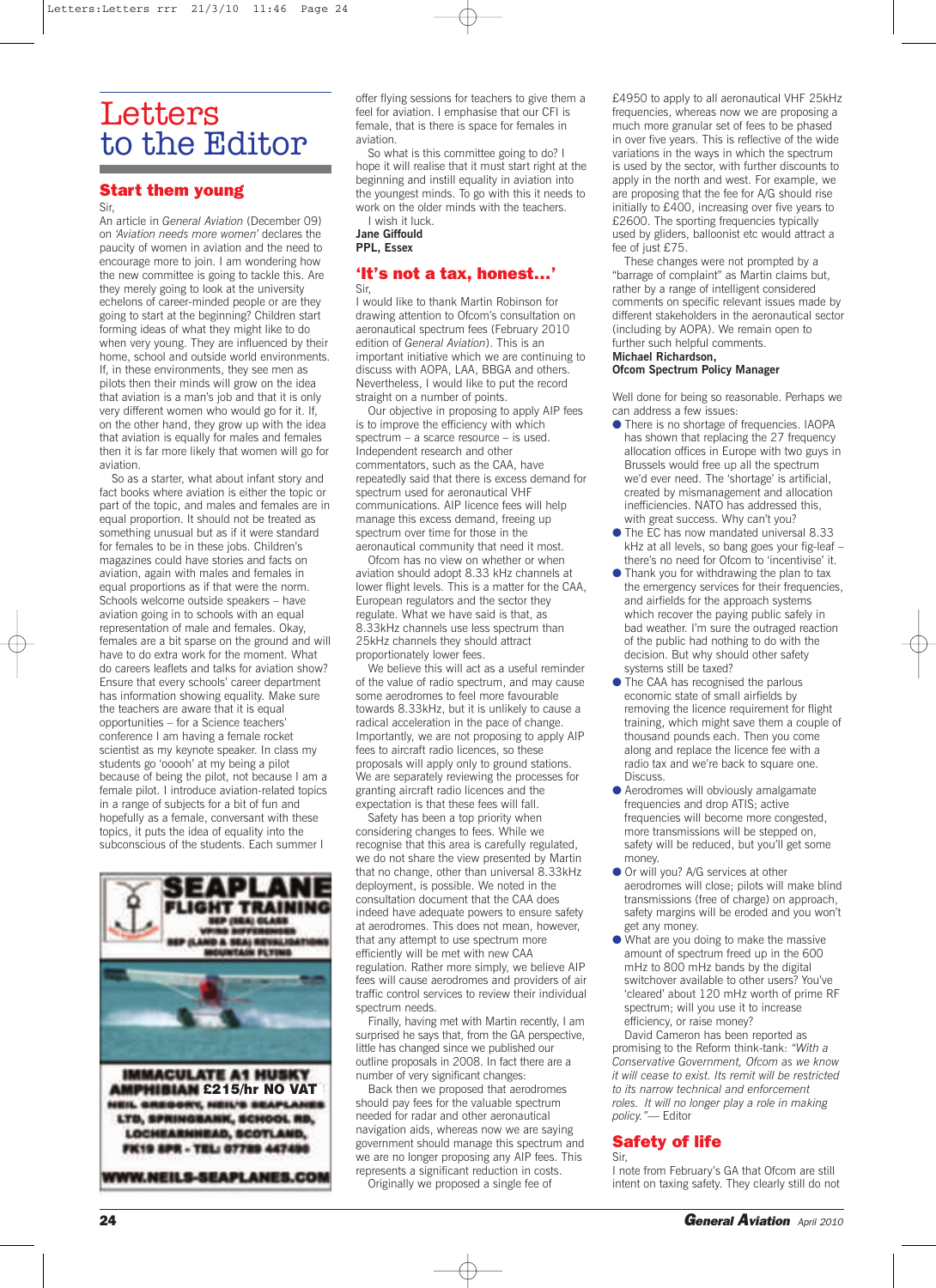# **Letters** to the Editor

# **Start them young**

#### Sir,

An article in *General Aviation* (December 09) on *'Aviation needs more women'* declares the paucity of women in aviation and the need to encourage more to join. I am wondering how the new committee is going to tackle this. Are they merely going to look at the university echelons of career-minded people or are they going to start at the beginning? Children start forming ideas of what they might like to do when very young. They are influenced by their home, school and outside world environments. If, in these environments, they see men as pilots then their minds will grow on the idea that aviation is a man's job and that it is only very different women who would go for it. If, on the other hand, they grow up with the idea that aviation is equally for males and females then it is far more likely that women will go for aviation.

So as a starter, what about infant story and fact books where aviation is either the topic or part of the topic, and males and females are in equal proportion. It should not be treated as something unusual but as if it were standard for females to be in these jobs. Children's magazines could have stories and facts on aviation, again with males and females in equal proportions as if that were the norm. Schools welcome outside speakers – have aviation going in to schools with an equal representation of male and females. Okay, females are a bit sparse on the ground and will have to do extra work for the moment. What do careers leaflets and talks for aviation show? Ensure that every schools' career department has information showing equality. Make sure the teachers are aware that it is equal opportunities – for a Science teachers' conference I am having a female rocket scientist as my keynote speaker. In class my students go 'ooooh' at my being a pilot because of being the pilot, not because I am a female pilot. I introduce aviation-related topics in a range of subjects for a bit of fun and hopefully as a female, conversant with these topics, it puts the idea of equality into the subconscious of the students. Each summer I



offer flying sessions for teachers to give them a feel for aviation. I emphasise that our CFI is female, that is there is space for females in aviation.

So what is this committee going to do? I hope it will realise that it must start right at the beginning and instill equality in aviation into the youngest minds. To go with this it needs to work on the older minds with the teachers. I wish it luck.

**Jane Giffould PPL, Essex**

## **'It's not a tax, honest…'** Sir,

I would like to thank Martin Robinson for drawing attention to Ofcom's consultation on aeronautical spectrum fees (February 2010 edition of *General Aviation*). This is an important initiative which we are continuing to discuss with AOPA, LAA, BBGA and others. Nevertheless, I would like to put the record straight on a number of points.

Our objective in proposing to apply AIP fees is to improve the efficiency with which spectrum – a scarce resource – is used. Independent research and other commentators, such as the CAA, have repeatedly said that there is excess demand for spectrum used for aeronautical VHF communications. AIP licence fees will help manage this excess demand, freeing up spectrum over time for those in the aeronautical community that need it most.

Ofcom has no view on whether or when aviation should adopt 8.33 kHz channels at lower flight levels. This is a matter for the CAA, European regulators and the sector they regulate. What we have said is that, as 8.33kHz channels use less spectrum than 25kHz channels they should attract proportionately lower fees.

We believe this will act as a useful reminder of the value of radio spectrum, and may cause some aerodromes to feel more favourable towards 8.33kHz, but it is unlikely to cause a radical acceleration in the pace of change. Importantly, we are not proposing to apply AIP fees to aircraft radio licences, so these proposals will apply only to ground stations. We are separately reviewing the processes for granting aircraft radio licences and the expectation is that these fees will fall.

Safety has been a top priority when considering changes to fees. While we recognise that this area is carefully regulated, we do not share the view presented by Martin that no change, other than universal 8.33kHz deployment, is possible. We noted in the consultation document that the CAA does indeed have adequate powers to ensure safety at aerodromes. This does not mean, however, that any attempt to use spectrum more efficiently will be met with new CAA regulation. Rather more simply, we believe AIP fees will cause aerodromes and providers of air traffic control services to review their individual spectrum needs.

Finally, having met with Martin recently, I am surprised he says that, from the GA perspective, little has changed since we published our outline proposals in 2008. In fact there are a number of very significant changes:

Back then we proposed that aerodromes should pay fees for the valuable spectrum needed for radar and other aeronautical navigation aids, whereas now we are saying government should manage this spectrum and we are no longer proposing any AIP fees. This represents a significant reduction in costs. Originally we proposed a single fee of

£4950 to apply to all aeronautical VHF 25kHz frequencies, whereas now we are proposing a much more granular set of fees to be phased in over five years. This is reflective of the wide variations in the ways in which the spectrum is used by the sector, with further discounts to apply in the north and west. For example, we are proposing that the fee for A/G should rise initially to £400, increasing over five years to £2600. The sporting frequencies typically used by gliders, balloonist etc would attract a fee of just £75.

These changes were not prompted by a "barrage of complaint" as Martin claims but, rather by a range of intelligent considered comments on specific relevant issues made by different stakeholders in the aeronautical sector (including by AOPA). We remain open to further such helpful comments. **Michael Richardson,**

# **Ofcom Spectrum Policy Manager**

Well done for being so reasonable. Perhaps we can address a few issues:

- There is no shortage of frequencies. IAOPA has shown that replacing the 27 frequency allocation offices in Europe with two guys in Brussels would free up all the spectrum we'd ever need. The 'shortage' is artificial, created by mismanagement and allocation inefficiencies. NATO has addressed this, with great success. Why can't you?
- The EC has now mandated universal 8.33 kHz at all levels, so bang goes your fig-leaf – there's no need for Ofcom to 'incentivise' it.
- Thank you for withdrawing the plan to tax the emergency services for their frequencies, and airfields for the approach systems which recover the paying public safely in bad weather. I'm sure the outraged reaction of the public had nothing to do with the decision. But why should other safety systems still be taxed?
- **The CAA has recognised the parlous** economic state of small airfields by removing the licence requirement for flight training, which might save them a couple of thousand pounds each. Then you come along and replace the licence fee with a radio tax and we're back to square one. **Discuss**
- Aerodromes will obviously amalgamate frequencies and drop ATIS; active frequencies will become more congested, more transmissions will be stepped on, safety will be reduced, but you'll get some money.
- Or will you? A/G services at other aerodromes will close; pilots will make blind transmissions (free of charge) on approach, safety margins will be eroded and you won't get any money.
- What are you doing to make the massive amount of spectrum freed up in the 600 mHz to 800 mHz bands by the digital switchover available to other users? You've 'cleared' about 120 mHz worth of prime RF spectrum; will you use it to increase efficiency, or raise money?

David Cameron has been reported as promising to the Reform think-tank: *"With a Conservative Government, Ofcom as we know it will cease to exist. Its remit will be restricted to its narrow technical and enforcement roles. It will no longer play a role in making policy."*–– Editor

# **Safety of life**

Sir, I note from February's GA that Ofcom are still intent on taxing safety. They clearly still do not